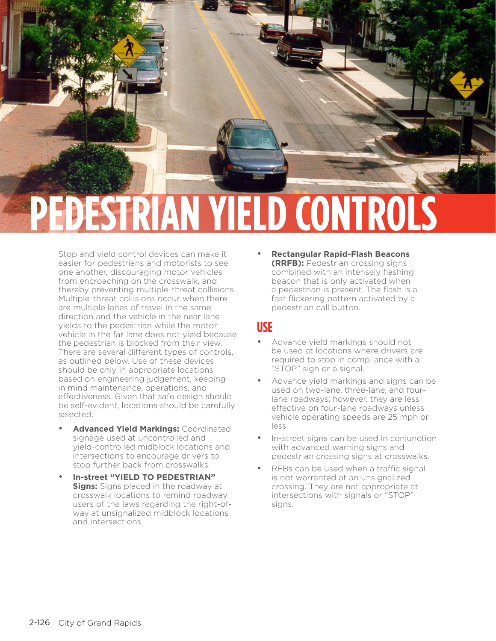

Stop and yield control devices can make it easier for pedestrians and motorists to see one another, discouraging motor vehicles from encroaching on the crosswalk, and thereby preventing multiple-threat collisions. Multiple-threat collisions occur when there are multiple lanes of travel in the same direction and the vehicle in the near lane yields to the pedestrian while the motor vehicle in the far lane does not yield because the pedestrian is blocked from their view. There are several different types of controls, as outlined below. Use of these devices should be only in appropriate locations based on engineering judgement, keeping in mind maintenance, operations, and effectiveness. Given that safe design should be self-evident, locations should be carefully selected.

- **Advanced Yield Markings:** Coordinated signage used at uncontrolled and yield-controlled midblock locations and intersections to encourage drivers to stop further back from crosswalks.
- **In-street "YIELD TO PEDESTRIAN" Signs:** Signs placed in the roadway at crosswalk locations to remind roadway users of the laws regarding the right-ofway at unsignalized midblock locations and intersections.

• **Rectangular Rapid-Flash Beacons (RRFB):** Pedestrian crossing signs combined with an intensely flashing beacon that is only activated when a pedestrian is present. The flash is a fast flickering pattern activated by a pedestrian call button.

### **USE**

- Advance yield markings should not be used at locations where drivers are required to stop in compliance with a "STOP" sign or a signal.
- Advance yield markings and signs can be used on two-lane, three-lane, and fourlane roadways; however, they are less effective on four-lane roadways unless vehicle operating speeds are 25 mph or less.
- In-street signs can be used in conjunction with advanced warning signs and pedestrian crossing signs at crosswalks.
- RFBs can be used when a traffic signal is not warranted at an unsignalized crossing. They are not appropriate at intersections with signals or "STOP" signs.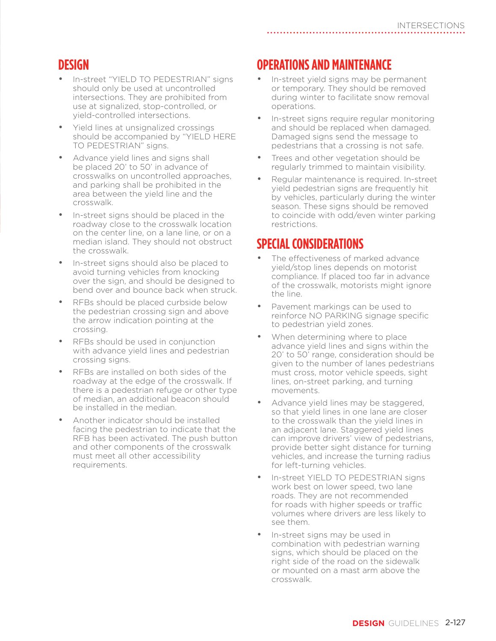#### **DESIGN**

- In-street "YIELD TO PEDESTRIAN" signs should only be used at uncontrolled intersections. They are prohibited from use at signalized, stop-controlled, or yield-controlled intersections.
- Yield lines at unsignalized crossings should be accompanied by "YIELD HERE TO PEDESTRIAN" signs.
- Advance yield lines and signs shall be placed 20' to 50' in advance of crosswalks on uncontrolled approaches, and parking shall be prohibited in the area between the yield line and the crosswalk.
- In-street signs should be placed in the roadway close to the crosswalk location on the center line, on a lane line, or on a median island. They should not obstruct the crosswalk.
- In-street signs should also be placed to avoid turning vehicles from knocking over the sign, and should be designed to bend over and bounce back when struck.
- RFBs should be placed curbside below the pedestrian crossing sign and above the arrow indication pointing at the crossing.
- RFBs should be used in conjunction with advance yield lines and pedestrian crossing signs.
- RFBs are installed on both sides of the roadway at the edge of the crosswalk. If there is a pedestrian refuge or other type of median, an additional beacon should be installed in the median.
- Another indicator should be installed facing the pedestrian to indicate that the RFB has been activated. The push button and other components of the crosswalk must meet all other accessibility requirements.

# **OPERATIONS AND MAINTENANCE**

- In-street yield signs may be permanent or temporary. They should be removed during winter to facilitate snow removal operations.
- In-street signs require regular monitoring and should be replaced when damaged. Damaged signs send the message to pedestrians that a crossing is not safe.
- Trees and other vegetation should be regularly trimmed to maintain visibility.
- Regular maintenance is required. In-street yield pedestrian signs are frequently hit by vehicles, particularly during the winter season. These signs should be removed to coincide with odd/even winter parking restrictions.

#### **SPECIAL CONSIDERATIONS**

- The effectiveness of marked advance yield/stop lines depends on motorist compliance. If placed too far in advance of the crosswalk, motorists might ignore the line.
- Pavement markings can be used to reinforce NO PARKING signage specific to pedestrian yield zones.
- When determining where to place advance yield lines and signs within the 20' to 50' range, consideration should be given to the number of lanes pedestrians must cross, motor vehicle speeds, sight lines, on-street parking, and turning movements.
- Advance yield lines may be staggered, so that yield lines in one lane are closer to the crosswalk than the yield lines in an adjacent lane. Staggered yield lines can improve drivers' view of pedestrians, provide better sight distance for turning vehicles, and increase the turning radius for left-turning vehicles.
- In-street YIELD TO PEDESTRIAN signs work best on lower speed, two lane roads. They are not recommended for roads with higher speeds or traffic volumes where drivers are less likely to see them.
- In-street signs may be used in combination with pedestrian warning signs, which should be placed on the right side of the road on the sidewalk or mounted on a mast arm above the crosswalk.